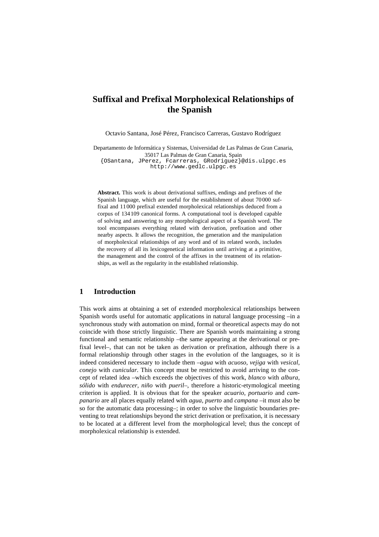# **Suffixal and Prefixal Morpholexical Relationships of the Spanish**

Octavio Santana, José Pérez, Francisco Carreras, Gustavo Rodríguez

Departamento de Informática y Sistemas, Universidad de Las Palmas de Gran Canaria, 35017 Las Palmas de Gran Canaria, Spain {OSantana, JPerez, Fcarreras, GRodriguez}@dis.ulpgc.es http://www.gedlc.ulpgc.es

**Abstract.** This work is about derivational suffixes, endings and prefixes of the Spanish language, which are useful for the establishment of about 70000 suffixal and 11000 prefixal extended morpholexical relationships deduced from a corpus of 134109 canonical forms. A computational tool is developed capable of solving and answering to any morphological aspect of a Spanish word. The tool encompasses everything related with derivation, prefixation and other nearby aspects. It allows the recognition, the generation and the manipulation of morpholexical relationships of any word and of its related words, includes the recovery of all its lexicogenetical information until arriving at a primitive, the management and the control of the affixes in the treatment of its relationships, as well as the regularity in the established relationship.

## **1 Introduction**

This work aims at obtaining a set of extended morpholexical relationships between Spanish words useful for automatic applications in natural language processing –in a synchronous study with automation on mind, formal or theoretical aspects may do not coincide with those strictly linguistic. There are Spanish words maintaining a strong functional and semantic relationship –the same appearing at the derivational or prefixal level–, that can not be taken as derivation or prefixation, although there is a formal relationship through other stages in the evolution of the languages, so it is indeed considered necessary to include them –*agua* with *acuoso*, *vejiga* with *vesical*, *conejo* with *cunicular*. This concept must be restricted to avoid arriving to the concept of related idea –which exceeds the objectives of this work, *blanco* with *albura*, *sólido* with *endurecer*, *niño* with *pueril*–, therefore a historic-etymological meeting criterion is applied. It is obvious that for the speaker *acuario*, *portuario* and *campanario* are all places equally related with *agua*, *puerto* and *campana* –it must also be so for the automatic data processing–; in order to solve the linguistic boundaries preventing to treat relationships beyond the strict derivation or prefixation, it is necessary to be located at a different level from the morphological level; thus the concept of morpholexical relationship is extended.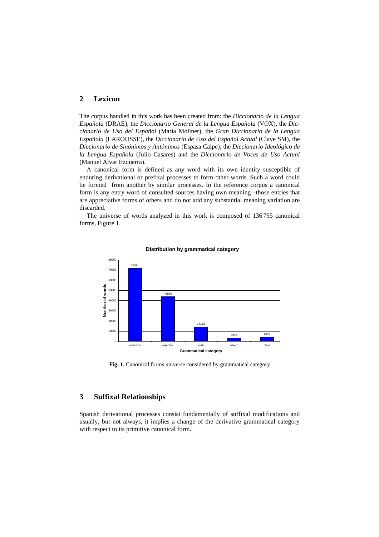## **2 Lexicon**

The corpus handled in this work has been created from: the *Diccionario de la Lengua Española* (DRAE), the *Diccionario General de la Lengua Española* (VOX), the *Diccionario de Uso del Español* (María Moliner), the *Gran Diccionario de la Lengua Española* (LAROUSSE), the *Diccionario de Uso del Español Actual* (Clave SM), the *Diccionario de Sinónimos y Antónimos* (Espasa Calpe), the *Diccionario Ideológico de la Lengua Española* (Julio Casares) and the *Diccionario de Voces de Uso Actual* (Manuel Alvar Ezquerra).

A canonical form is defined as any word with its own identity susceptible of enduring derivational or prefixal processes to form other words. Such a word could be formed from another by similar processes. In the reference corpus a canonical form is any entry word of consulted sources having own meaning –those entries that are appreciative forms of others and do not add any substantial meaning variation are discarded.

The universe of words analyzed in this work is composed of 136 795 canonical forms, Figure 1.



#### **Distribution by grammatical category**

**Fig. 1.** Canonical forms universe considered by grammatical category

## **3 Suffixal Relationships**

Spanish derivational processes consist fundamentally of suffixal modifications and usually, but not always, it implies a change of the derivative grammatical category with respect to its primitive canonical form.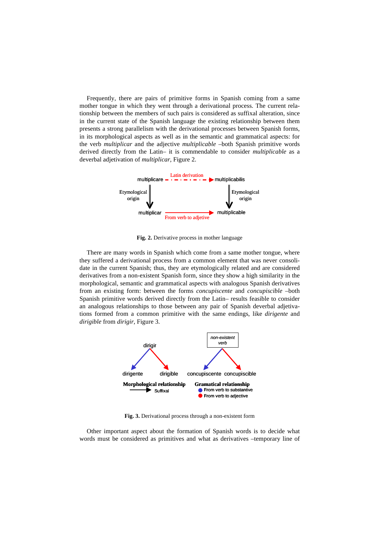Frequently, there are pairs of primitive forms in Spanish coming from a same mother tongue in which they went through a derivational process. The current relationship between the members of such pairs is considered as suffixal alteration, since in the current state of the Spanish language the existing relationship between them presents a strong parallelism with the derivational processes between Spanish forms, in its morphological aspects as well as in the semantic and grammatical aspects: for the verb *multiplicar* and the adjective *multiplicable* –both Spanish primitive words derived directly from the Latin– it is commendable to consider *multiplicable* as a deverbal adjetivation of *multiplicar*, Figure 2.



**Fig. 2.** Derivative process in mother language

There are many words in Spanish which come from a same mother tongue, where they suffered a derivational process from a common element that was never consolidate in the current Spanish; thus, they are etymologically related and are considered derivatives from a non-existent Spanish form, since they show a high similarity in the morphological, semantic and grammatical aspects with analogous Spanish derivatives from an existing form: between the forms *concupiscente* and *concupiscible* –both Spanish primitive words derived directly from the Latin– results feasible to consider an analogous relationships to those between any pair of Spanish deverbal adjetivations formed from a common primitive with the same endings, like *dirigente* and *dirigible* from *dirigir*, Figure 3.



**Fig. 3.** Derivational process through a non-existent form

Other important aspect about the formation of Spanish words is to decide what words must be considered as primitives and what as derivatives –temporary line of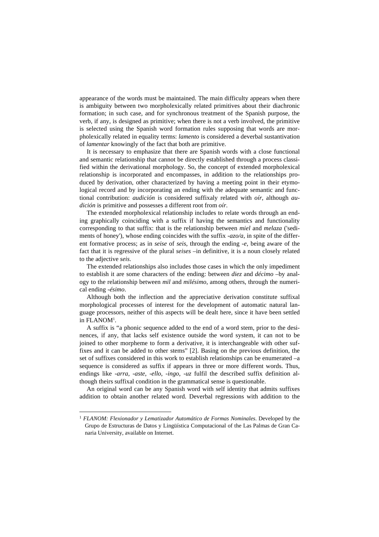appearance of the words must be maintained. The main difficulty appears when there is ambiguity between two morpholexically related primitives about their diachronic formation; in such case, and for synchronous treatment of the Spanish purpose, the verb, if any, is designed as primitive; when there is not a verb involved, the primitive is selected using the Spanish word formation rules supposing that words are morpholexically related in equality terms: *lamento* is considered a deverbal sustantivation of *lamentar* knowingly of the fact that both are primitive.

It is necessary to emphasize that there are Spanish words with a close functional and semantic relationship that cannot be directly established through a process classified within the derivational morphology. So, the concept of extended morpholexical relationship is incorporated and encompasses, in addition to the relationships produced by derivation, other characterized by having a meeting point in their etymological record and by incorporating an ending with the adequate semantic and functional contribution: *audición* is considered suffixaly related with *oír*, although *audición* is primitive and possesses a different root from *oír*.

The extended morpholexical relationship includes to relate words through an ending graphically coinciding with a suffix if having the semantics and functionality corresponding to that suffix: that is the relationship between *miel* and *melaza* ('sediments of honey'), whose ending coincides with the suffix *-azo/a*, in spite of the different formative process; as in *seise* of *seis*, through the ending *-e*, being aware of the fact that it is regressive of the plural *seises* –in definitive, it is a noun closely related to the adjective *seis*.

The extended relationships also includes those cases in which the only impediment to establish it are some characters of the ending: between *diez* and *décimo* –by analogy to the relationship between *mil* and *milésimo*, among others, through the numerical ending *-ésimo*.

Although both the inflection and the appreciative derivation constitute suffixal morphological processes of interest for the development of automatic natural language processors, neither of this aspects will be dealt here, since it have been settled in FLANOM1.

A suffix is "a phonic sequence added to the end of a word stem, prior to the desinences, if any, that lacks self existence outside the word system, it can not to be joined to other morpheme to form a derivative, it is interchangeable with other suffixes and it can be added to other stems" [2]. Basing on the previous definition, the set of suffixes considered in this work to establish relationships can be enumerated –a sequence is considered as suffix if appears in three or more different words. Thus, endings like *-arra*, *-aste*, *-ello*, *-ingo*, *-uz* fulfil the described suffix definition although theirs suffixal condition in the grammatical sense is questionable.

An original word can be any Spanish word with self identity that admits suffixes addition to obtain another related word. Deverbal regressions with addition to the

-

<sup>&</sup>lt;sup>1</sup> FLANOM: Flexionador y Lematizador Automático de Formas Nominales. Developed by the Grupo de Estructuras de Datos y Lingüística Computacional of the Las Palmas de Gran Canaria University, available on Internet.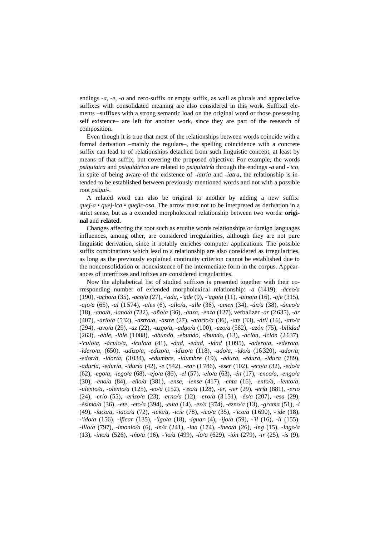endings *-a*, *-e*, *-o* and zero-suffix or empty suffix, as well as plurals and appreciative suffixes with consolidated meaning are also considered in this work. Suffixal elements –suffixes with a strong semantic load on the original word or those possessing self existence– are left for another work, since they are part of the research of composition.

Even though it is true that most of the relationships between words coincide with a formal derivation –mainly the regulars–, the spelling coincidence with a concrete suffix can lead to of relationships detached from such linguistic concept, at least by means of that suffix, but covering the proposed objective. For example, the words *psiquiatra* and *psiquiátrico* are related to *psiquiatría* through the endings *-a* and *-'ico*, in spite of being aware of the existence of *-iatría* and *-iatra*, the relationship is intended to be established between previously mentioned words and not with a possible root *psiqui-*.

A related word can also be original to another by adding a new suffix: *quej-a • quej-ica • quejic-oso*. The arrow must not to be interpreted as derivation in a strict sense, but as a extended morpholexical relationship between two words: **original** and **related**.

Changes affecting the root such as erudite words relationships or foreign languages influences, among other, are considered irregularities, although they are not pure linguistic derivation, since it notably enriches computer applications. The possible suffix combinations which lead to a relationship are also considered as irregularities, as long as the previously explained continuity criterion cannot be established due to the nonconsolidation or nonexistence of the intermediate form in the corpus. Appearances of interffixes and infixes are considered irregularities.

Now the alphabetical list of studied suffixes is presented together with their corresponding number of extended morpholexical relationship: *-a* (1419), *-áceo/a* (190), *-acho/a* (35), *-aco/a* (27), *-'ada, -'ade* (9), *-'ago/a* (11), *-aino/a* (16), *-aje* (315), *-ajo/a* (65), *-al* (1 574), *-ales* (6), *-allo/a, -alle* (36), *-amen* (34), *-án/a* (38), *-áneo/a* (18), *-ano/a, -iano/a* (732), *-año/a* (36), *-anza, -enza* (127), verbalizer *-ar* (2 635), *-ar* (407), *-ario/a* (532), *-astro/a, -astre* (27), *-atario/a* (36), *-ate* (33), *-átil* (16), *-ato/a* (294), *-avo/a* (29), *-az* (22), *-azgo/a, -adgo/a* (100), *-azo/a* (562), *-azón* (75), *-bilidad* (263), *-able, -ible* (1 088), *-abundo, -ebundo, -ibundo,* (13), *-ación, -ición* (2 637), *-'culo/a, -áculo/a, -ículo/a* (41), *-dad, -edad, -idad* (1 095), *-adero/a, -edero/a, -idero/a,* (650), *-adizo/a, -edizo/a, -idizo/a* (118), *-ado/a, -ido/a* (16 320), *-ador/a, -edor/a, -idor/a,* (3 034), *-edumbre, -idumbre* (19), *-adura, -edura, -idura* (789), *-aduría, -eduría, -iduría* (42), *-e* (542), *-ear* (1 786), *-eser* (102), *-eco/a* (32), *-edo/a* (62), *-ego/a, -iego/a* (68), *-ejo/a* (86), *-el* (57), *-elo/a* (63), *-én* (17), *-enco/a, -engo/a* (30), *-eno/a* (84), *-eño/a* (381), *-ense, -iense* (417), *-enta* (16), *-ento/a, -iento/a, -ulento/a, -olento/a* (125), *-eo/a* (152), *-'eo/a* (128), *-er, -ier* (29), *-ería* (881), *-erio* (24), *-erío* (55), *-erizo/a* (23), *-erno/a* (12), *-ero/a* (3 151), *-és/a* (207), *-esa* (29), *-ésimo/a* (36), *-ete, -eto/a* (394), *-euta* (14), *-ez/a* (374), *-ezno/a* (13), *-grama* (51), *-í* (49), *-íaco/a, -iaco/a* (72), *-icio/a, -icie* (78), *-ico/a* (35), *-'ico/a* (1 690), *-'ide* (18), *-'ido/a* (156), *-ificar* (135), *-'igo/a* (18), *-iguar* (4), *-ijo/a* (59), *-'il* (16), *-il* (155), *-illo/a* (797), *-imonio/a* (6), *-ín/a* (241), *-ina* (174), *-íneo/a* (26), *-ing* (15), *-ingo/a* (13), *-ino/a* (526), *-iño/a* (16), *-'io/a* (499), *-ío/a* (629), *-ión* (279), *-ir* (25), *-is* (9),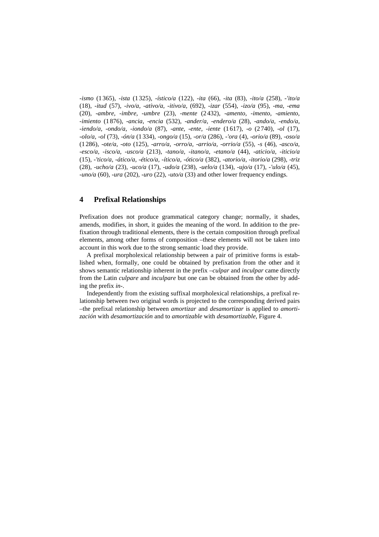*-ismo* (1 365), *-ista* (1 325), *-ístico/a* (122), *-ita* (66), *-ita* (83), *-ito/a* (258), *-'ito/a* (18), *-itud* (57), *-ivo/a, -ativo/a, -itivo/a,* (692), *-izar* (554), *-izo/a* (95), *-ma, -ema* (20), *-ambre, -imbre, -umbre* (23), *-mente* (2 432), *-amento, -imento, -amiento, -imiento* (1 876), *-ancia, -encia* (532), *-ander/a, -endero/a* (28), *-ando/a, -endo/a, -iendo/a, -ondo/a, -iondo/a* (87), *-ante, -ente, -iente* (1 617), *-o* (2 740), *-ol* (17), *-olo/a, -ol* (73), *-ón/a* (1 334), *-ongo/a* (15), *-or/a* (286), *-'ora* (4), *-orio/a* (89), *-oso/a* (1 286), *-ote/a, -oto* (125), *-arro/a, -orro/a, -arrio/a, -orrio/a* (55), *-s* (46), *-asco/a, -esco/a, -isco/a, -usco/a* (213), *-tano/a, -itano/a, -etano/a* (44), *-aticio/a, -iticio/a* (15), *-'tico/a, -ático/a, -ético/a, -ítico/a, -ótico/a* (382), *-atorio/a, -itorio/a* (298), *-triz* (28), *-ucho/a* (23), *-uco/a* (17), *-udo/a* (238), *-uelo/a* (134), *-ujo/a* (17), *-'ulo/a* (45), *-uno/a* (60), *-ura* (202), *-uro* (22), *-uto/a* (33) and other lower frequency endings.

## **4 Prefixal Relationships**

Prefixation does not produce grammatical category change; normally, it shades, amends, modifies, in short, it guides the meaning of the word. In addition to the prefixation through traditional elements, there is the certain composition through prefixal elements, among other forms of composition –these elements will not be taken into account in this work due to the strong semantic load they provide.

A prefixal morpholexical relationship between a pair of primitive forms is established when, formally, one could be obtained by prefixation from the other and it shows semantic relationship inherent in the prefix –*culpar* and *inculpar* came directly from the Latin *culpare* and *inculpare* but one can be obtained from the other by adding the prefix *in-*.

Independently from the existing suffixal morpholexical relationships, a prefixal relationship between two original words is projected to the corresponding derived pairs –the prefixal relationship between *amortizar* and *desamortizar* is applied to *amortización* with *desamortización* and to *amortizable* with *desamortizable*, Figure 4.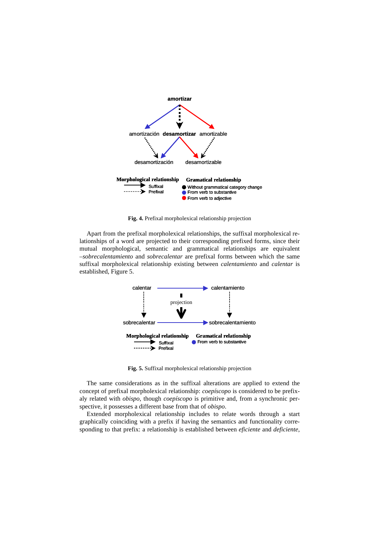

**Fig. 4.** Prefixal morpholexical relationship projection

Apart from the prefixal morpholexical relationships, the suffixal morpholexical relationships of a word are projected to their corresponding prefixed forms, since their mutual morphological, semantic and grammatical relationships are equivalent –*sobrecalentamiento* and *sobrecalentar* are prefixal forms between which the same suffixal morpholexical relationship existing between *calentamiento* and *calentar* is established, Figure 5.



**Fig. 5.** Suffixal morpholexical relationship projection

The same considerations as in the suffixal alterations are applied to extend the concept of prefixal morpholexical relationship: *coepíscopo* is considered to be prefixaly related with *obispo*, though *coepíscopo* is primitive and, from a synchronic perspective, it possesses a different base from that of *obispo*.

Extended morpholexical relationship includes to relate words through a start graphically coinciding with a prefix if having the semantics and functionality corresponding to that prefix: a relationship is established between *eficiente* and *deficiente*,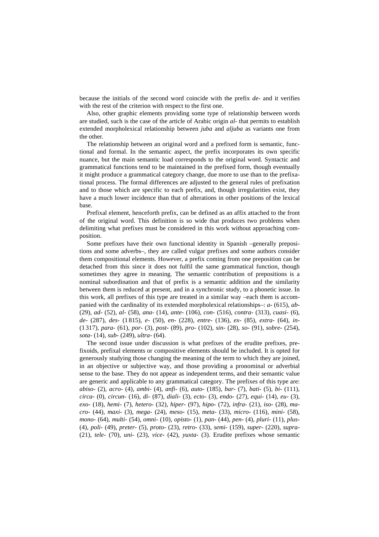because the initials of the second word coincide with the prefix *de-* and it verifies with the rest of the criterion with respect to the first one.

Also, other graphic elements providing some type of relationship between words are studied, such is the case of the article of Arabic origin *al-* that permits to establish extended morpholexical relationship between *juba* and *aljuba* as variants one from the other.

The relationship between an original word and a prefixed form is semantic, functional and formal. In the semantic aspect, the prefix incorporates its own specific nuance, but the main semantic load corresponds to the original word. Syntactic and grammatical functions tend to be maintained in the prefixed form, though eventually it might produce a grammatical category change, due more to use than to the prefixational process. The formal differences are adjusted to the general rules of prefixation and to those which are specific to each prefix, and, though irregularities exist, they have a much lower incidence than that of alterations in other positions of the lexical base.

Prefixal element, henceforth prefix, can be defined as an affix attached to the front of the original word. This definition is so wide that produces two problems when delimiting what prefixes must be considered in this work without approaching composition.

Some prefixes have their own functional identity in Spanish –generally prepositions and some adverbs–, they are called vulgar prefixes and some authors consider them compositional elements. However, a prefix coming from one preposition can be detached from this since it does not fulfil the same grammatical function, though sometimes they agree in meaning. The semantic contribution of prepositions is a nominal subordination and that of prefix is a semantic addition and the similarity between them is reduced at present, and in a synchronic study, to a phonetic issue. In this work, all prefixes of this type are treated in a similar way –each them is accompanied with the cardinality of its extended morpholexical relationships–: *a*- (615), *ab*- (29), *ad*- (52), *al*- (58), *ana*- (14), *ante*- (106), *con*- (516), *contra*- (313), *cuasi*- (6), *de*- (287), *des*- (1 815), *e*- (50), *en*- (228), *entre*- (136), *ex*- (85), *extra*- (64), *in*- (1 317), *para*- (61), *por*- (3), *post*- (89), *pro*- (102), *sin*- (28), *so*- (91), *sobre*- (254), *sota*- (14), *sub*- (249), *ultra*- (64).

The second issue under discussion is what prefixes of the erudite prefixes, prefixoids, prefixal elements or compositive elements should be included. It is opted for generously studying those changing the meaning of the term to which they are joined, in an objective or subjective way, and those providing a pronominal or adverbial sense to the base. They do not appear as independent terms, and their semantic value are generic and applicable to any grammatical category. The prefixes of this type are: *abiso*- (2), *acro*- (4), *ambi*- (4), *anfi*- (6), *auto*- (185), *bar*- (7), *bati*- (5), *bi*- (111), *circa*- (0), *circun*- (16), *di*- (87), *diali*- (3), *ecto*- (3), *endo*- (27), *equi*- (14), *eu*- (3), *exo*- (18), *hemi*- (7), *hetero*- (32), *hiper*- (97), *hipo*- (72), *infra*- (21), *iso*- (28), *macro*- (44), *maxi*- (3), *mega*- (24), *meso*- (15), *meta*- (33), *micro*- (116), *mini*- (58), *mono*- (64), *multi*- (54), *omni*- (10), *opisto*- (1), *pan*- (44), *pen*- (4), *pluri*- (11), *plus*- (4), *poli*- (49), *preter*- (5), *proto*- (23), *retro*- (33), *semi*- (159), *super*- (220), *supra*- (21), *tele*- (70), *uni*- (23), *vice*- (42), *yuxta*- (3). Erudite prefixes whose semantic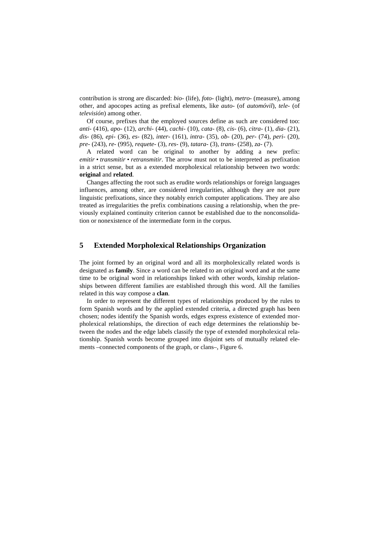contribution is strong are discarded: *bio*- (life), *foto*- (light), *metro*- (measure), among other, and apocopes acting as prefixal elements, like *auto*- (of *automóvil*), *tele*- (of *televisión*) among other.

Of course, prefixes that the employed sources define as such are considered too: *anti*- (416), *apo*- (12), *archi*- (44), *cachi*- (10), *cata*- (8), *cis*- (6), *citra*- (1), *dia*- (21), *dis*- (86), *epi*- (36), *es*- (82), *inter*- (161), *intra*- (35), *ob*- (20), *per*- (74), *peri*- (20), *pre*- (243), *re*- (995), *requete*- (3), *res*- (9), *tatara*- (3), *trans*- (258), *za*- (7).

A related word can be original to another by adding a new prefix: *emitir • transmitir • retransmitir*. The arrow must not to be interpreted as prefixation in a strict sense, but as a extended morpholexical relationship between two words: **original** and **related**.

Changes affecting the root such as erudite words relationships or foreign languages influences, among other, are considered irregularities, although they are not pure linguistic prefixations, since they notably enrich computer applications. They are also treated as irregularities the prefix combinations causing a relationship, when the previously explained continuity criterion cannot be established due to the nonconsolidation or nonexistence of the intermediate form in the corpus.

## **5 Extended Morpholexical Relationships Organization**

The joint formed by an original word and all its morpholexically related words is designated as **family**. Since a word can be related to an original word and at the same time to be original word in relationships linked with other words, kinship relationships between different families are established through this word. All the families related in this way compose a **clan**.

In order to represent the different types of relationships produced by the rules to form Spanish words and by the applied extended criteria, a directed graph has been chosen; nodes identify the Spanish words, edges express existence of extended morpholexical relationships, the direction of each edge determines the relationship between the nodes and the edge labels classify the type of extended morpholexical relationship. Spanish words become grouped into disjoint sets of mutually related elements –connected components of the graph, or clans–, Figure 6.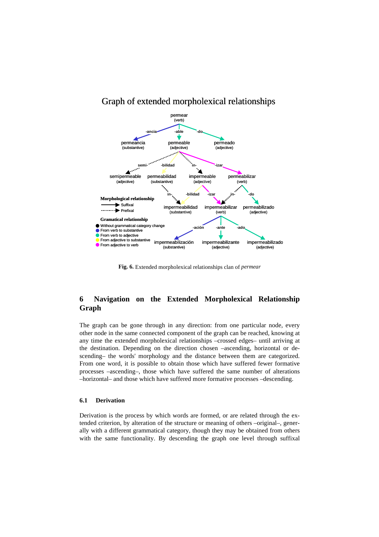

## Graph of extended morpholexical relationships

**Fig. 6.** Extended morpholexical relationships clan of *permear*

## **6 Navigation on the Extended Morpholexical Relationship Graph**

The graph can be gone through in any direction: from one particular node, every other node in the same connected component of the graph can be reached, knowing at any time the extended morpholexical relationships –crossed edges– until arriving at the destination. Depending on the direction chosen –ascending, horizontal or descending– the words' morphology and the distance between them are categorized. From one word, it is possible to obtain those which have suffered fewer formative processes –ascending–, those which have suffered the same number of alterations –horizontal– and those which have suffered more formative processes –descending.

#### **6.1 Derivation**

Derivation is the process by which words are formed, or are related through the extended criterion, by alteration of the structure or meaning of others –original–, generally with a different grammatical category, though they may be obtained from others with the same functionality. By descending the graph one level through suffixal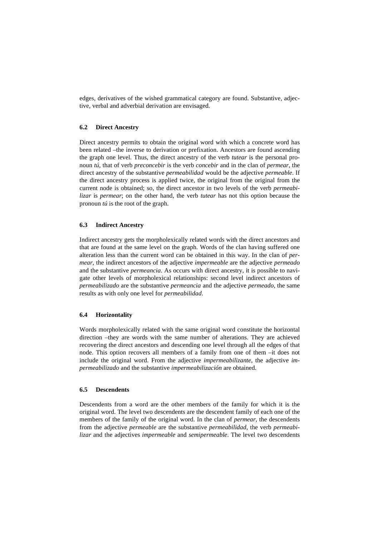edges, derivatives of the wished grammatical category are found. Substantive, adjective, verbal and adverbial derivation are envisaged.

#### **6.2 Direct Ancestry**

Direct ancestry permits to obtain the original word with which a concrete word has been related –the inverse to derivation or prefixation. Ancestors are found ascending the graph one level. Thus, the direct ancestry of the verb *tutear* is the personal pronoun *tú*, that of verb *preconcebir* is the verb *concebir* and in the clan of *permear*, the direct ancestry of the substantive *permeabilidad* would be the adjective *permeable*. If the direct ancestry process is applied twice, the original from the original from the current node is obtained; so, the direct ancestor in two levels of the verb *permeabilizar* is *permear*; on the other hand, the verb *tutear* has not this option because the pronoun *tú* is the root of the graph.

#### **6.3 Indirect Ancestry**

Indirect ancestry gets the morpholexically related words with the direct ancestors and that are found at the same level on the graph. Words of the clan having suffered one alteration less than the current word can be obtained in this way. In the clan of *permear*, the indirect ancestors of the adjective *impermeable* are the adjective *permeado* and the substantive *permeancia*. As occurs with direct ancestry, it is possible to navigate other levels of morpholexical relationships: second level indirect ancestors of *permeabilizado* are the substantive *permeancia* and the adjective *permeado*, the same results as with only one level for *permeabilidad*.

#### **6.4 Horizontality**

Words morpholexically related with the same original word constitute the horizontal direction –they are words with the same number of alterations. They are achieved recovering the direct ancestors and descending one level through all the edges of that node. This option recovers all members of a family from one of them –it does not include the original word. From the adjective *impermeabilizante*, the adjective *impermeabilizado* and the substantive *impermeabilización* are obtained.

### **6.5 Descendents**

Descendents from a word are the other members of the family for which it is the original word. The level two descendents are the descendent family of each one of the members of the family of the original word. In the clan of *permear*, the descendents from the adjective *permeable* are the substantive *permeabilidad*, the verb *permeabilizar* and the adjectives *impermeable* and *semipermeable*. The level two descendents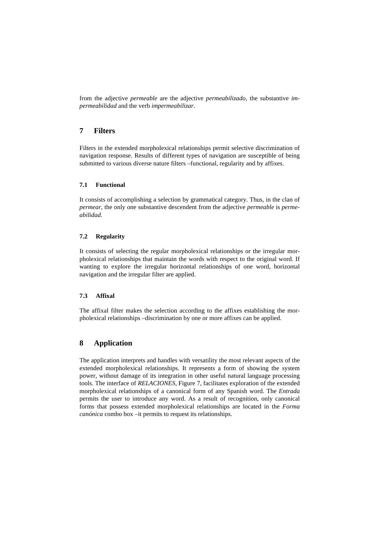from the adjective *permeable* are the adjective *permeabilizado*, the substantive *impermeabilidad* and the verb *impermeabilizar*.

## **7 Filters**

Filters in the extended morpholexical relationships permit selective discrimination of navigation response. Results of different types of navigation are susceptible of being submitted to various diverse nature filters –functional, regularity and by affixes.

### **7.1 Functional**

It consists of accomplishing a selection by grammatical category. Thus, in the clan of *permear*, the only one substantive descendent from the adjective *permeable* is *permeabilidad*.

### **7.2 Regularity**

It consists of selecting the regular morpholexical relationships or the irregular morpholexical relationships that maintain the words with respect to the original word. If wanting to explore the irregular horizontal relationships of one word, horizontal navigation and the irregular filter are applied.

### **7.3 Affixal**

The affixal filter makes the selection according to the affixes establishing the morpholexical relationships –discrimination by one or more affixes can be applied.

## **8 Application**

The application interprets and handles with versatility the most relevant aspects of the extended morpholexical relationships. It represents a form of showing the system power, without damage of its integration in other useful natural language processing tools. The interface of *RELACIONES*, Figure 7, facilitates exploration of the extended morpholexical relationships of a canonical form of any Spanish word. The *Entrada* permits the user to introduce any word. As a result of recognition, only canonical forms that possess extended morpholexical relationships are located in the *Forma canónica* combo box –it permits to request its relationships.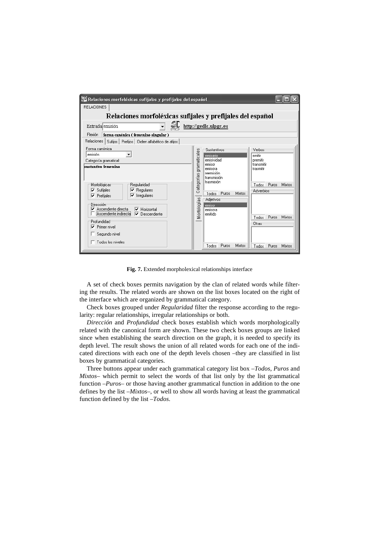| 湿 Relaciones morfoléxicas sufijales y prefijales del español                                                                                                                                                                                                                                                                                             |                                                                                                                                                                                                                                                                                                                                                            |  |  |  |  |  |  |  |  |  |
|----------------------------------------------------------------------------------------------------------------------------------------------------------------------------------------------------------------------------------------------------------------------------------------------------------------------------------------------------------|------------------------------------------------------------------------------------------------------------------------------------------------------------------------------------------------------------------------------------------------------------------------------------------------------------------------------------------------------------|--|--|--|--|--|--|--|--|--|
| <b>RELACIONES</b>                                                                                                                                                                                                                                                                                                                                        |                                                                                                                                                                                                                                                                                                                                                            |  |  |  |  |  |  |  |  |  |
| Relaciones morfoléxicas sufijales y prefijales del español                                                                                                                                                                                                                                                                                               |                                                                                                                                                                                                                                                                                                                                                            |  |  |  |  |  |  |  |  |  |
| http://gedlc.ulpgc.es<br>Entradalemisión                                                                                                                                                                                                                                                                                                                 |                                                                                                                                                                                                                                                                                                                                                            |  |  |  |  |  |  |  |  |  |
| Flexión<br>forma canónica (femenino singular)                                                                                                                                                                                                                                                                                                            |                                                                                                                                                                                                                                                                                                                                                            |  |  |  |  |  |  |  |  |  |
| Relaciones<br>Sufijos   Prefijos   Orden alfabético de afijos                                                                                                                                                                                                                                                                                            |                                                                                                                                                                                                                                                                                                                                                            |  |  |  |  |  |  |  |  |  |
| Forma canónica<br>emisión<br>▼<br>Categoría gramatical:<br>sustantivo femenino<br>Morfológicas<br>Regularidad<br>$\overline{\mathbf{v}}$ Sufijales<br>Regulares<br>Irregulares<br>Prefijales<br>⊽<br>Dirección<br>Ascendente directa<br>⊽<br>Horizontal<br>⊽<br>Ascendente indirecta<br>⊽<br>Descendente<br>Profundidad<br>Primer nivel<br>Segundo nivel | Verbos<br>Categorías gramaticales<br>Sustantivos<br>emitir<br>emisario<br>emisividad<br>premitir<br>transmitir<br>emisor<br>trasmitir<br>emisora<br>reemisión<br>transmisión<br>trasmisión<br>Mixtos<br>Todos Puros<br>Adverbios<br>Todos Puros<br>Mixtos<br>Morfologías<br>Adjetivos<br>emisor<br>emisora<br>emitido<br>Puros<br>Mixtos<br>Todos<br>Otras |  |  |  |  |  |  |  |  |  |
| Todos los niveles                                                                                                                                                                                                                                                                                                                                        | Todos<br>Puros<br>Mixtos<br>Todos<br>Puros<br>Mixtos                                                                                                                                                                                                                                                                                                       |  |  |  |  |  |  |  |  |  |

**Fig. 7.** Extended morpholexical relationships interface

A set of check boxes permits navigation by the clan of related words while filtering the results. The related words are shown on the list boxes located on the right of the interface which are organized by grammatical category.

Check boxes grouped under *Regularidad* filter the response according to the regularity: regular relationships, irregular relationships or both.

*Dirección* and *Profundidad* check boxes establish which words morphologically related with the canonical form are shown. These two check boxes groups are linked since when establishing the search direction on the graph, it is needed to specify its depth level. The result shows the union of all related words for each one of the indicated directions with each one of the depth levels chosen –they are classified in list boxes by grammatical categories.

Three buttons appear under each grammatical category list box –*Todos*, *Puros* and *Mixtos*– which permit to select the words of that list only by the list grammatical function –*Puros*– or those having another grammatical function in addition to the one defines by the list –*Mixtos*–, or well to show all words having at least the grammatical function defined by the list –*Todos*.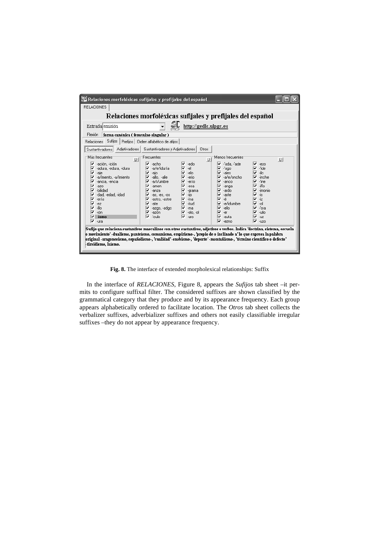| 湿 Relaciones morfoléxicas sufijales y prefijales del español                                                                                                                                                                                                                                                                                                                              |                                                                                                                                                                                                                       |                                                                                                                                                                                  |                                                                                                                                                                                                                                     |                                                                                                                                                                                                           |  |  |  |
|-------------------------------------------------------------------------------------------------------------------------------------------------------------------------------------------------------------------------------------------------------------------------------------------------------------------------------------------------------------------------------------------|-----------------------------------------------------------------------------------------------------------------------------------------------------------------------------------------------------------------------|----------------------------------------------------------------------------------------------------------------------------------------------------------------------------------|-------------------------------------------------------------------------------------------------------------------------------------------------------------------------------------------------------------------------------------|-----------------------------------------------------------------------------------------------------------------------------------------------------------------------------------------------------------|--|--|--|
| <b>RELACIONES</b>                                                                                                                                                                                                                                                                                                                                                                         |                                                                                                                                                                                                                       |                                                                                                                                                                                  |                                                                                                                                                                                                                                     |                                                                                                                                                                                                           |  |  |  |
| Relaciones morfoléxicas sufijales y prefijales del español                                                                                                                                                                                                                                                                                                                                |                                                                                                                                                                                                                       |                                                                                                                                                                                  |                                                                                                                                                                                                                                     |                                                                                                                                                                                                           |  |  |  |
| http://gedlc.ulpgc.es<br>Entrada emisión                                                                                                                                                                                                                                                                                                                                                  |                                                                                                                                                                                                                       |                                                                                                                                                                                  |                                                                                                                                                                                                                                     |                                                                                                                                                                                                           |  |  |  |
| Flexión<br>forma canónica (femenino singular)                                                                                                                                                                                                                                                                                                                                             |                                                                                                                                                                                                                       |                                                                                                                                                                                  |                                                                                                                                                                                                                                     |                                                                                                                                                                                                           |  |  |  |
| Relaciones Sufijos                                                                                                                                                                                                                                                                                                                                                                        | Prefijos   Orden alfabético de afijos                                                                                                                                                                                 |                                                                                                                                                                                  |                                                                                                                                                                                                                                     |                                                                                                                                                                                                           |  |  |  |
| Sustantivadores!                                                                                                                                                                                                                                                                                                                                                                          | Adjetivadores   Sustantivadores y Adjetivadores                                                                                                                                                                       | <b>Otros</b>                                                                                                                                                                     |                                                                                                                                                                                                                                     |                                                                                                                                                                                                           |  |  |  |
| Más frecuentes:<br> U <br>-ación, -ición<br>⊽<br>-adura, -edura, -idura<br>⊽<br>⊽<br>-aie<br>⊽<br>-a/imento, -a/imiento<br>⊽<br>-ancia, -encia<br>⊽<br>-azo<br>⊽<br>-bilidad<br>-dad, -edad, -idad<br>⊽<br>⊽<br>-ería<br>⊽<br>-ez<br>⊽<br>-illo<br>⊽<br>-ión<br>⊽<br>-ismo<br>⊽<br>-ura                                                                                                   | Frecuentes<br>⊽<br>-acho<br>-a/e/iduría<br>⊽<br>⊽<br>-aio<br>-allo, -alle<br>⊽<br>-a/i/umbre<br>v<br>-amen<br>-anza<br>-as, -es, -os<br>-astro, -astre<br>M<br>M<br>-ate<br>-azgo, -adgo<br>M<br>⊽<br>-azón<br>-'culo | D <br>-edo<br>⊽<br>-el<br>⊽<br>-elo<br>⊽<br>-erio<br>-erío<br>⊽<br>⊽<br>-esa-<br>⊽<br>-grama<br>⊽<br>-ijo<br>⊽<br>-ina.<br>⊽<br>-itud<br>⊽<br>-ma<br>⊽<br>-olo. -ol<br>▽<br>-uro | Menos frecuentes:<br>-'ada, -'ade<br>⊽<br>⊽<br>-'ago<br>⊽<br>-ales<br>-a/e/oncho<br>⊽<br>⊽<br>-anco<br>⊽<br>-anga<br>-ardo<br>⊽<br>⊽<br>-aste<br>⊽<br>-é.<br>⊽<br>-e/idumbre<br>⊽<br>-ello<br>⊽<br>-er<br>⊽<br>-euta-<br>⊽<br>-ezno | <b>D</b><br>M<br>$-ezo$<br>-'ide<br>⊽<br>⊽<br>-ilo<br>⊽<br>-inche<br>-'ine<br>⊽<br>⊽<br>-iño<br>⊽<br>-imonio<br>⊽<br>$-iz$<br>⊽<br>-iz<br>⊽<br>-ol<br>⊽<br>-'ora<br>⊽<br>-ullo<br>⊽<br>-uz<br>⊽<br>$-uzo$ |  |  |  |
| Sufijo que relaciona sustantivos masculinos con otros sustantivos, adjetivos o verbos. Indica 'doctrina, sistema, escuela<br>o movimiento" -dualismo, panteísmo, comunismo, empirismo-, "propio de o inclinado a" lo que expresa la palabra<br>original -aragonesismo, españolismo-, 'cualidad' -snobismo-, 'deporte' -montañismo-, 'término científico o defecto'<br>tiroidismo, laísmo. |                                                                                                                                                                                                                       |                                                                                                                                                                                  |                                                                                                                                                                                                                                     |                                                                                                                                                                                                           |  |  |  |

**Fig. 8.** The interface of extended morpholexical relationships: Suffix

In the interface of *RELACIONES*, Figure 8, appears the *Sufijos* tab sheet –it permits to configure suffixal filter. The considered suffixes are shown classified by the grammatical category that they produce and by its appearance frequency. Each group appears alphabetically ordered to facilitate location. The *Otros* tab sheet collects the verbalizer suffixes, adverbializer suffixes and others not easily classifiable irregular suffixes –they do not appear by appearance frequency.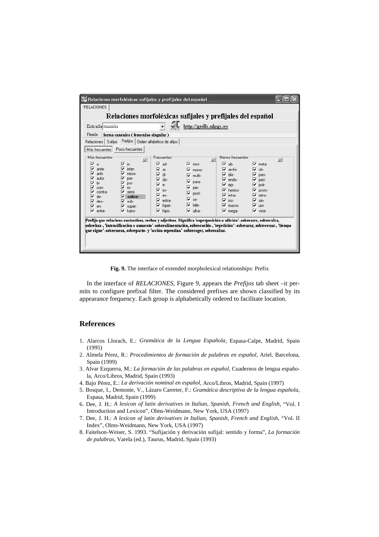| Relaciones morfoléxicas sufijales y prefijales del español                                                                                                                                                   |                                                                                                                    |                                                                                                                             |                                                                                                                        |                                                                                                                                                                                                                                                                                                                                                                                                   |                                                                                                                                                       |  |  |
|--------------------------------------------------------------------------------------------------------------------------------------------------------------------------------------------------------------|--------------------------------------------------------------------------------------------------------------------|-----------------------------------------------------------------------------------------------------------------------------|------------------------------------------------------------------------------------------------------------------------|---------------------------------------------------------------------------------------------------------------------------------------------------------------------------------------------------------------------------------------------------------------------------------------------------------------------------------------------------------------------------------------------------|-------------------------------------------------------------------------------------------------------------------------------------------------------|--|--|
| <b>RELACIONES</b>                                                                                                                                                                                            |                                                                                                                    |                                                                                                                             |                                                                                                                        |                                                                                                                                                                                                                                                                                                                                                                                                   |                                                                                                                                                       |  |  |
| Relaciones morfoléxicas sufijales y prefijales del español                                                                                                                                                   |                                                                                                                    |                                                                                                                             |                                                                                                                        |                                                                                                                                                                                                                                                                                                                                                                                                   |                                                                                                                                                       |  |  |
| Entrada emisión                                                                                                                                                                                              |                                                                                                                    |                                                                                                                             | http://gedlc.ulpgc.es                                                                                                  |                                                                                                                                                                                                                                                                                                                                                                                                   |                                                                                                                                                       |  |  |
| Flexión                                                                                                                                                                                                      | forma canónica (femenino singular)                                                                                 |                                                                                                                             |                                                                                                                        |                                                                                                                                                                                                                                                                                                                                                                                                   |                                                                                                                                                       |  |  |
| Relaciones Sufijos Prefijos   Orden alfabético de afijos                                                                                                                                                     |                                                                                                                    |                                                                                                                             |                                                                                                                        |                                                                                                                                                                                                                                                                                                                                                                                                   |                                                                                                                                                       |  |  |
| Más frecuentes!                                                                                                                                                                                              | Poco frecuentes                                                                                                    |                                                                                                                             |                                                                                                                        |                                                                                                                                                                                                                                                                                                                                                                                                   |                                                                                                                                                       |  |  |
| Más frecuentes<br>⊽<br>a-<br>ante-<br>anti-<br>auto-<br>Ы÷<br>⊽<br>con-<br>⊽<br>contra-<br>de-<br>des-<br>en-<br>entre-<br>que sigue '-sobremesa, sobreparto- y 'acción repentina' -sobrecoger, sobresaltar. | D <br>⊽<br>in-<br>⊽<br>inter-<br>micro-<br>⊮<br>pre-<br>DIO-<br>re-<br>semi-<br>sobre-<br>sub-<br>super-<br>trans- | Frecuentes<br>⊽<br>ad-<br>⊽<br>aŀ-<br>di-<br>⊽<br>dis-<br>e-<br>⊽<br>es-<br>⊽<br>ex-<br>⊽<br>extra-<br>hiper-<br>hipo-<br>⊽ | ⊽<br>mini-<br>⊽<br>mono-<br>⊽<br>multi-<br>⊽<br>para-<br>⊽<br>per-<br>post-<br>⊽<br>$SO-$<br>tele-<br>M<br>ultra-<br>⊽ | Menos frecuentes:<br>$\cup$<br>v<br>ah-<br>⊽<br>archi-<br>dia-<br>⊽<br>endo-<br>epi-<br>hetero-<br>intra-<br>⊽<br>⊽<br>iso-<br>macro-<br>⊽<br>mega-<br>Prefijo que relaciona sustantivos, verbos y adjetivos. Significa 'superposición o adición' -sobrearco, sobrecalza,<br>sobrehaz-, 'intensificación o aumento'-sobrealimentación, sobresueldo-, 'repetición'-sobrearar, sobrecenar-, 'tiempo | <sup>D</sup><br>⊽<br>meta-<br>⊽<br>ob-<br>⊽<br>pan-<br>⊽<br>peri-<br>⊽<br>poli-<br>⊽<br>proto-<br>⊽<br>retro-<br>⊽<br>sin-<br>⊽<br>uni-<br>⊽<br>vice- |  |  |

**Fig. 9.** The interface of extended morpholexical relationships: Prefix

In the interface of *RELACIONES*, Figure 9, appears the *Prefijos* tab sheet –it permits to configure prefixal filter. The considered prefixes are shown classified by its appearance frequency. Each group is alphabetically ordered to facilitate location.

## **References**

- 1. Alarcos Llorach, E.: *Gramática de la Lengua Española*, Espasa-Calpe, Madrid, Spain (1995)
- 2. Almela Pérez, R.: *Procedimientos de formación de palabras en español*, Ariel, Barcelona, Spain (1999)
- 3. Alvar Ezquerra, M.: *La formación de las palabras en español*, Cuadernos de lengua española, Arco/Libros, Madrid, Spain (1993)
- 4. Bajo Pérez, E.: *La derivación nominal en español*, Arco/Libros, Madrid, Spain (1997)
- 5. Bosque, I., Demonte, V., Lázaro Carreter, F.: *Gramática descriptiva de la lengua española*, Espasa, Madrid, Spain (1999)
- 6. Dee, J. H.: *A lexicon of latin derivatives in Italian, Spanish, French and English*, "Vol. I Introduction and Lexicon", Olms-Weidmann, New York, USA (1997)
- 7. Dee, J. H.: *A lexicon of latin derivatives in Italian, Spanish, French and English*, "Vol. II Index", Olms-Weidmann, New York, USA (1997)
- 8. Faitelson-Weiser, S. 1993. "Sufijación y derivación sufijal: sentido y forma"*, La formación de palabras*, Varela (ed.), Taurus, Madrid, Spain (1993)